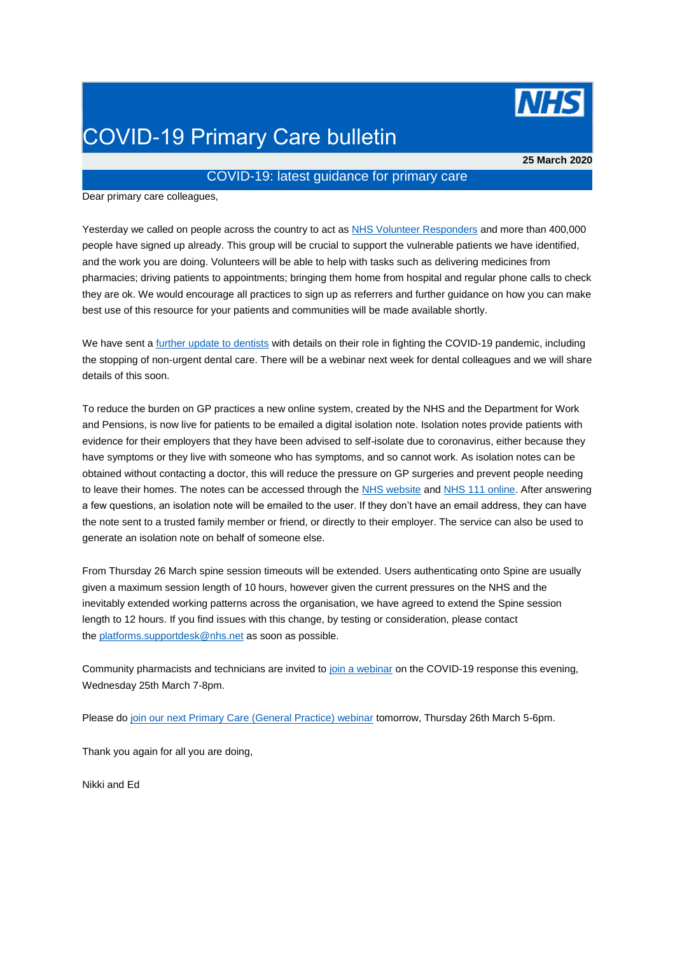

## COVID-19 Primary Care bulletin

**25 March 2020**

## COVID-19: latest guidance for primary care

Dear primary care colleagues,

Yesterday we called on people across the country to act as [NHS Volunteer Responders](https://generalpracticebulletin.cmail20.com/t/d-l-mjdukdy-jucslyp-r/) and more than 400,000 people have signed up already. This group will be crucial to support the vulnerable patients we have identified, and the work you are doing. Volunteers will be able to help with tasks such as delivering medicines from pharmacies; driving patients to appointments; bringing them home from hospital and regular phone calls to check they are ok. We would encourage all practices to sign up as referrers and further guidance on how you can make best use of this resource for your patients and communities will be made available shortly.

We have sent a [further update to dentists](https://generalpracticebulletin.cmail20.com/t/d-l-mjdukdy-jucslyp-y/) with details on their role in fighting the COVID-19 pandemic, including the stopping of non-urgent dental care. There will be a webinar next week for dental colleagues and we will share details of this soon.

To reduce the burden on GP practices a new online system, created by the NHS and the Department for Work and Pensions, is now live for patients to be emailed a digital isolation note. Isolation notes provide patients with evidence for their employers that they have been advised to self-isolate due to coronavirus, either because they have symptoms or they live with someone who has symptoms, and so cannot work. As isolation notes can be obtained without contacting a doctor, this will reduce the pressure on GP surgeries and prevent people needing to leave their homes. The notes can be accessed through the [NHS website](https://generalpracticebulletin.cmail20.com/t/d-l-mjdukdy-jucslyp-j/) and [NHS 111 online.](https://generalpracticebulletin.cmail20.com/t/d-l-mjdukdy-jucslyp-t/) After answering a few questions, an isolation note will be emailed to the user. If they don't have an email address, they can have the note sent to a trusted family member or friend, or directly to their employer. The service can also be used to generate an isolation note on behalf of someone else.

From Thursday 26 March spine session timeouts will be extended. Users authenticating onto Spine are usually given a maximum session length of 10 hours, however given the current pressures on the NHS and the inevitably extended working patterns across the organisation, we have agreed to extend the Spine session length to 12 hours. If you find issues with this change, by testing or consideration, please contact the [platforms.supportdesk@nhs.net](mailto:platforms.supportdesk@nhs.net) as soon as possible.

Community pharmacists and technicians are invited to [join a webinar](https://generalpracticebulletin.cmail20.com/t/d-l-mjdukdy-jucslyp-i/) on the COVID-19 response this evening, Wednesday 25th March 7-8pm.

Please do [join our next Primary Care \(General Practice\) webinar](https://generalpracticebulletin.cmail20.com/t/d-l-mjdukdy-jucslyp-d/) tomorrow, Thursday 26th March 5-6pm.

Thank you again for all you are doing,

Nikki and Ed